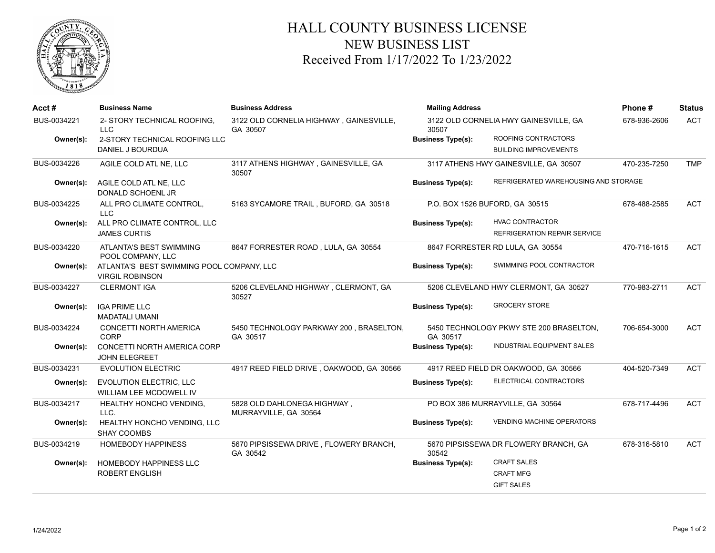

## HALL COUNTY BUSINESS LICENSE NEW BUSINESS LIST Received From 1/17/2022 To 1/23/2022

| Acct#       | <b>Business Name</b>                                                | <b>Business Address</b>                              | <b>Mailing Address</b>   |                                         | Phone#       | <b>Status</b> |
|-------------|---------------------------------------------------------------------|------------------------------------------------------|--------------------------|-----------------------------------------|--------------|---------------|
| BUS-0034221 | 2- STORY TECHNICAL ROOFING,<br><b>LLC</b>                           | 3122 OLD CORNELIA HIGHWAY, GAINESVILLE,<br>GA 30507  | 30507                    | 3122 OLD CORNELIA HWY GAINESVILLE, GA   | 678-936-2606 | <b>ACT</b>    |
| Owner(s):   | 2-STORY TECHNICAL ROOFING LLC                                       |                                                      | <b>Business Type(s):</b> | ROOFING CONTRACTORS                     |              |               |
|             | DANIEL J BOURDUA                                                    |                                                      |                          | <b>BUILDING IMPROVEMENTS</b>            |              |               |
| BUS-0034226 | AGILE COLD ATL NE, LLC                                              | 3117 ATHENS HIGHWAY, GAINESVILLE, GA<br>30507        |                          | 3117 ATHENS HWY GAINESVILLE, GA 30507   | 470-235-7250 | <b>TMP</b>    |
| Owner(s):   | AGILE COLD ATL NE, LLC<br>DONALD SCHOENL JR                         |                                                      | <b>Business Type(s):</b> | REFRIGERATED WAREHOUSING AND STORAGE    |              |               |
| BUS-0034225 | ALL PRO CLIMATE CONTROL,<br><b>LLC</b>                              | 5163 SYCAMORE TRAIL, BUFORD, GA 30518                |                          | P.O. BOX 1526 BUFORD, GA 30515          | 678-488-2585 | ACT           |
| Owner(s):   | ALL PRO CLIMATE CONTROL, LLC                                        |                                                      | <b>Business Type(s):</b> | <b>HVAC CONTRACTOR</b>                  |              |               |
|             | <b>JAMES CURTIS</b>                                                 |                                                      |                          | REFRIGERATION REPAIR SERVICE            |              |               |
| BUS-0034220 | ATLANTA'S BEST SWIMMING<br>POOL COMPANY, LLC                        | 8647 FORRESTER ROAD, LULA, GA 30554                  |                          | 8647 FORRESTER RD LULA, GA 30554        | 470-716-1615 | <b>ACT</b>    |
| Owner(s):   | ATLANTA'S BEST SWIMMING POOL COMPANY, LLC<br><b>VIRGIL ROBINSON</b> |                                                      | <b>Business Type(s):</b> | SWIMMING POOL CONTRACTOR                |              |               |
| BUS-0034227 | <b>CLERMONT IGA</b>                                                 | 5206 CLEVELAND HIGHWAY, CLERMONT, GA<br>30527        |                          | 5206 CLEVELAND HWY CLERMONT, GA 30527   | 770-983-2711 | <b>ACT</b>    |
| Owner(s):   | <b>IGA PRIME LLC</b><br><b>MADATALI UMANI</b>                       |                                                      | <b>Business Type(s):</b> | <b>GROCERY STORE</b>                    |              |               |
| BUS-0034224 | <b>CONCETTI NORTH AMERICA</b><br>CORP                               | 5450 TECHNOLOGY PARKWAY 200, BRASELTON,<br>GA 30517  | GA 30517                 | 5450 TECHNOLOGY PKWY STE 200 BRASELTON, | 706-654-3000 | <b>ACT</b>    |
| Owner(s):   | CONCETTI NORTH AMERICA CORP<br><b>JOHN ELEGREET</b>                 |                                                      | <b>Business Type(s):</b> | INDUSTRIAL EQUIPMENT SALES              |              |               |
| BUS-0034231 | <b>EVOLUTION ELECTRIC</b>                                           | 4917 REED FIELD DRIVE, OAKWOOD, GA 30566             |                          | 4917 REED FIELD DR OAKWOOD, GA 30566    | 404-520-7349 | <b>ACT</b>    |
| Owner(s):   | <b>EVOLUTION ELECTRIC, LLC</b><br>WILLIAM LEE MCDOWELL IV           |                                                      | <b>Business Type(s):</b> | ELECTRICAL CONTRACTORS                  |              |               |
| BUS-0034217 | <b>HEALTHY HONCHO VENDING,</b><br>LLC.                              | 5828 OLD DAHLONEGA HIGHWAY,<br>MURRAYVILLE, GA 30564 |                          | PO BOX 386 MURRAYVILLE, GA 30564        | 678-717-4496 | <b>ACT</b>    |
| Owner(s):   | HEALTHY HONCHO VENDING, LLC<br><b>SHAY COOMBS</b>                   |                                                      | <b>Business Type(s):</b> | <b>VENDING MACHINE OPERATORS</b>        |              |               |
| BUS-0034219 | <b>HOMEBODY HAPPINESS</b>                                           | 5670 PIPSISSEWA DRIVE, FLOWERY BRANCH,<br>GA 30542   | 30542                    | 5670 PIPSISSEWA DR FLOWERY BRANCH, GA   | 678-316-5810 | <b>ACT</b>    |
| Owner(s):   | <b>HOMEBODY HAPPINESS LLC</b>                                       |                                                      | <b>Business Type(s):</b> | <b>CRAFT SALES</b>                      |              |               |
|             | <b>ROBERT ENGLISH</b>                                               |                                                      |                          | <b>CRAFT MFG</b>                        |              |               |
|             |                                                                     |                                                      |                          | <b>GIFT SALES</b>                       |              |               |